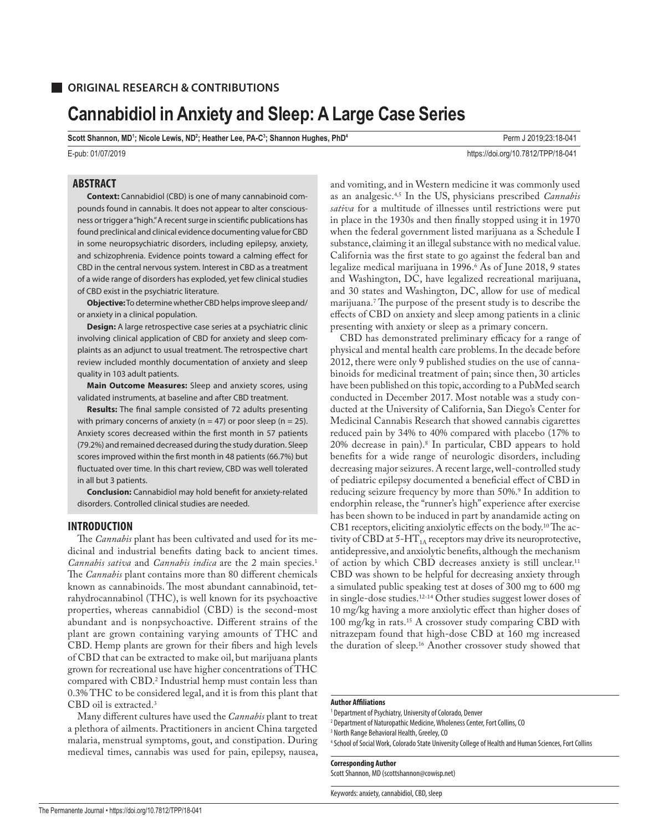# **Cannabidiol in Anxiety and Sleep: A Large Case Series**

**Scott Shannon, MD1 ; Nicole Lewis, ND2 ; Heather Lee, PA-C3 ; Shannon Hughes, PhD4** Perm J 2019;23:18-041

E-pub: 01/07/2019 https://doi.org/10.7812/TPP/18-041

# **ABSTRACT**

**Context:** Cannabidiol (CBD) is one of many cannabinoid compounds found in cannabis. It does not appear to alter consciousness or trigger a "high." A recent surge in scientific publications has found preclinical and clinical evidence documenting value for CBD in some neuropsychiatric disorders, including epilepsy, anxiety, and schizophrenia. Evidence points toward a calming effect for CBD in the central nervous system. Interest in CBD as a treatment of a wide range of disorders has exploded, yet few clinical studies of CBD exist in the psychiatric literature.

**Objective:** To determine whether CBD helps improve sleep and/ or anxiety in a clinical population.

**Design:** A large retrospective case series at a psychiatric clinic involving clinical application of CBD for anxiety and sleep complaints as an adjunct to usual treatment. The retrospective chart review included monthly documentation of anxiety and sleep quality in 103 adult patients.

**Main Outcome Measures:** Sleep and anxiety scores, using validated instruments, at baseline and after CBD treatment.

**Results:** The final sample consisted of 72 adults presenting with primary concerns of anxiety ( $n = 47$ ) or poor sleep ( $n = 25$ ). Anxiety scores decreased within the first month in 57 patients (79.2%) and remained decreased during the study duration. Sleep scores improved within the first month in 48 patients (66.7%) but fluctuated over time. In this chart review, CBD was well tolerated in all but 3 patients.

**Conclusion:** Cannabidiol may hold benefit for anxiety-related disorders. Controlled clinical studies are needed.

# **INTRODUCTION**

The *Cannabis* plant has been cultivated and used for its medicinal and industrial benefits dating back to ancient times. *Cannabis sativa* and *Cannabis indica* are the 2 main species.<sup>1</sup> The *Cannabis* plant contains more than 80 different chemicals known as cannabinoids. The most abundant cannabinoid, tetrahydrocannabinol (THC), is well known for its psychoactive properties, whereas cannabidiol (CBD) is the second-most abundant and is nonpsychoactive. Different strains of the plant are grown containing varying amounts of THC and CBD. Hemp plants are grown for their fibers and high levels of CBD that can be extracted to make oil, but marijuana plants grown for recreational use have higher concentrations of THC compared with CBD.2 Industrial hemp must contain less than 0.3% THC to be considered legal, and it is from this plant that CBD oil is extracted.3

Many different cultures have used the *Cannabis* plant to treat a plethora of ailments. Practitioners in ancient China targeted malaria, menstrual symptoms, gout, and constipation. During medieval times, cannabis was used for pain, epilepsy, nausea, and vomiting, and in Western medicine it was commonly used as an analgesic.4,5 In the US, physicians prescribed *Cannabis sativa* for a multitude of illnesses until restrictions were put in place in the 1930s and then finally stopped using it in 1970 when the federal government listed marijuana as a Schedule I substance, claiming it an illegal substance with no medical value. California was the first state to go against the federal ban and legalize medical marijuana in 1996.<sup>6</sup> As of June 2018, 9 states and Washington, DC, have legalized recreational marijuana, and 30 states and Washington, DC, allow for use of medical marijuana.7 The purpose of the present study is to describe the effects of CBD on anxiety and sleep among patients in a clinic presenting with anxiety or sleep as a primary concern.

CBD has demonstrated preliminary efficacy for a range of physical and mental health care problems. In the decade before 2012, there were only 9 published studies on the use of cannabinoids for medicinal treatment of pain; since then, 30 articles have been published on this topic, according to a PubMed search conducted in December 2017. Most notable was a study conducted at the University of California, San Diego's Center for Medicinal Cannabis Research that showed cannabis cigarettes reduced pain by 34% to 40% compared with placebo (17% to 20% decrease in pain).8 In particular, CBD appears to hold benefits for a wide range of neurologic disorders, including decreasing major seizures. A recent large, well-controlled study of pediatric epilepsy documented a beneficial effect of CBD in reducing seizure frequency by more than 50%.<sup>9</sup> In addition to endorphin release, the "runner's high" experience after exercise has been shown to be induced in part by anandamide acting on CB1 receptors, eliciting anxiolytic effects on the body.10 The activity of CBD at  $5-HT_{1A}$  receptors may drive its neuroprotective, antidepressive, and anxiolytic benefits, although the mechanism of action by which CBD decreases anxiety is still unclear.11 CBD was shown to be helpful for decreasing anxiety through a simulated public speaking test at doses of 300 mg to 600 mg in single-dose studies.12-14 Other studies suggest lower doses of 10 mg/kg having a more anxiolytic effect than higher doses of 100 mg/kg in rats.15 A crossover study comparing CBD with nitrazepam found that high-dose CBD at 160 mg increased the duration of sleep.16 Another crossover study showed that

#### **Author Affiliations**

- <sup>1</sup> Department of Psychiatry, University of Colorado, Denver
- <sup>2</sup> Department of Naturopathic Medicine, Wholeness Center, Fort Collins, CO
- <sup>3</sup> North Range Behavioral Health, Greeley, CO

4 School of Social Work, Colorado State University College of Health and Human Sciences, Fort Collins

#### **Corresponding Author**

Scott Shannon, MD (scottshannon@cowisp.net)

Keywords: anxiety, cannabidiol, CBD, sleep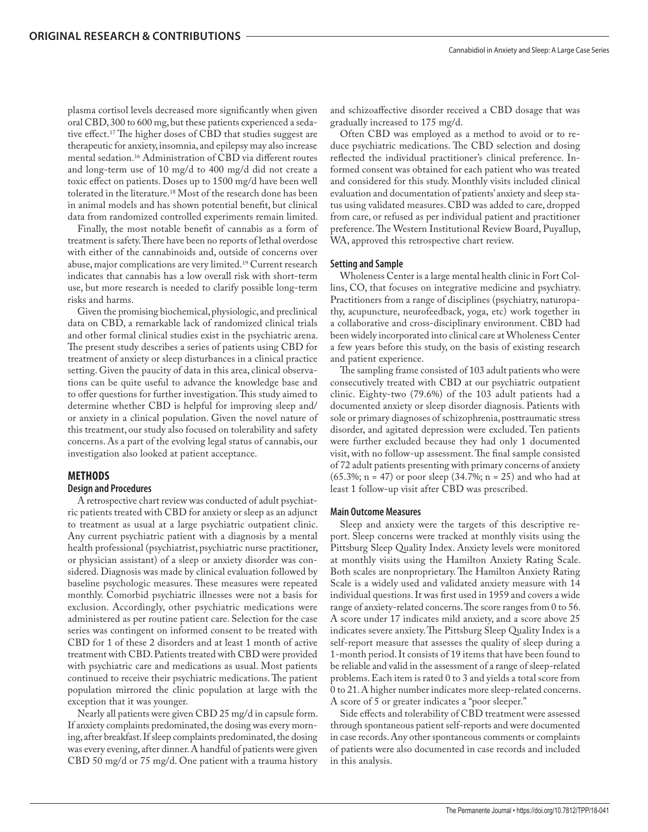plasma cortisol levels decreased more significantly when given oral CBD, 300 to 600 mg, but these patients experienced a sedative effect.17 The higher doses of CBD that studies suggest are therapeutic for anxiety, insomnia, and epilepsy may also increase mental sedation.16 Administration of CBD via different routes and long-term use of 10 mg/d to 400 mg/d did not create a toxic effect on patients. Doses up to 1500 mg/d have been well tolerated in the literature.18 Most of the research done has been in animal models and has shown potential benefit, but clinical data from randomized controlled experiments remain limited.

Finally, the most notable benefit of cannabis as a form of treatment is safety. There have been no reports of lethal overdose with either of the cannabinoids and, outside of concerns over abuse, major complications are very limited.19 Current research indicates that cannabis has a low overall risk with short-term use, but more research is needed to clarify possible long-term risks and harms.

Given the promising biochemical, physiologic, and preclinical data on CBD, a remarkable lack of randomized clinical trials and other formal clinical studies exist in the psychiatric arena. The present study describes a series of patients using CBD for treatment of anxiety or sleep disturbances in a clinical practice setting. Given the paucity of data in this area, clinical observations can be quite useful to advance the knowledge base and to offer questions for further investigation. This study aimed to determine whether CBD is helpful for improving sleep and/ or anxiety in a clinical population. Given the novel nature of this treatment, our study also focused on tolerability and safety concerns. As a part of the evolving legal status of cannabis, our investigation also looked at patient acceptance.

# **METHODS**

## **Design and Procedures**

A retrospective chart review was conducted of adult psychiatric patients treated with CBD for anxiety or sleep as an adjunct to treatment as usual at a large psychiatric outpatient clinic. Any current psychiatric patient with a diagnosis by a mental health professional (psychiatrist, psychiatric nurse practitioner, or physician assistant) of a sleep or anxiety disorder was considered. Diagnosis was made by clinical evaluation followed by baseline psychologic measures. These measures were repeated monthly. Comorbid psychiatric illnesses were not a basis for exclusion. Accordingly, other psychiatric medications were administered as per routine patient care. Selection for the case series was contingent on informed consent to be treated with CBD for 1 of these 2 disorders and at least 1 month of active treatment with CBD. Patients treated with CBD were provided with psychiatric care and medications as usual. Most patients continued to receive their psychiatric medications. The patient population mirrored the clinic population at large with the exception that it was younger.

Nearly all patients were given CBD 25 mg/d in capsule form. If anxiety complaints predominated, the dosing was every morning, after breakfast. If sleep complaints predominated, the dosing was every evening, after dinner. A handful of patients were given CBD 50 mg/d or 75 mg/d. One patient with a trauma history and schizoaffective disorder received a CBD dosage that was gradually increased to 175 mg/d.

Often CBD was employed as a method to avoid or to reduce psychiatric medications. The CBD selection and dosing reflected the individual practitioner's clinical preference. Informed consent was obtained for each patient who was treated and considered for this study. Monthly visits included clinical evaluation and documentation of patients' anxiety and sleep status using validated measures. CBD was added to care, dropped from care, or refused as per individual patient and practitioner preference. The Western Institutional Review Board, Puyallup, WA, approved this retrospective chart review.

# **Setting and Sample**

Wholeness Center is a large mental health clinic in Fort Collins, CO, that focuses on integrative medicine and psychiatry. Practitioners from a range of disciplines (psychiatry, naturopathy, acupuncture, neurofeedback, yoga, etc) work together in a collaborative and cross-disciplinary environment. CBD had been widely incorporated into clinical care at Wholeness Center a few years before this study, on the basis of existing research and patient experience.

The sampling frame consisted of 103 adult patients who were consecutively treated with CBD at our psychiatric outpatient clinic. Eighty-two (79.6%) of the 103 adult patients had a documented anxiety or sleep disorder diagnosis. Patients with sole or primary diagnoses of schizophrenia, posttraumatic stress disorder, and agitated depression were excluded. Ten patients were further excluded because they had only 1 documented visit, with no follow-up assessment. The final sample consisted of 72 adult patients presenting with primary concerns of anxiety (65.3%; n = 47) or poor sleep (34.7%; n = 25) and who had at least 1 follow-up visit after CBD was prescribed.

#### **Main Outcome Measures**

Sleep and anxiety were the targets of this descriptive report. Sleep concerns were tracked at monthly visits using the Pittsburg Sleep Quality Index. Anxiety levels were monitored at monthly visits using the Hamilton Anxiety Rating Scale. Both scales are nonproprietary. The Hamilton Anxiety Rating Scale is a widely used and validated anxiety measure with 14 individual questions. It was first used in 1959 and covers a wide range of anxiety-related concerns. The score ranges from 0 to 56. A score under 17 indicates mild anxiety, and a score above 25 indicates severe anxiety. The Pittsburg Sleep Quality Index is a self-report measure that assesses the quality of sleep during a 1-month period. It consists of 19 items that have been found to be reliable and valid in the assessment of a range of sleep-related problems. Each item is rated 0 to 3 and yields a total score from 0 to 21. A higher number indicates more sleep-related concerns. A score of 5 or greater indicates a "poor sleeper."

Side effects and tolerability of CBD treatment were assessed through spontaneous patient self-reports and were documented in case records. Any other spontaneous comments or complaints of patients were also documented in case records and included in this analysis.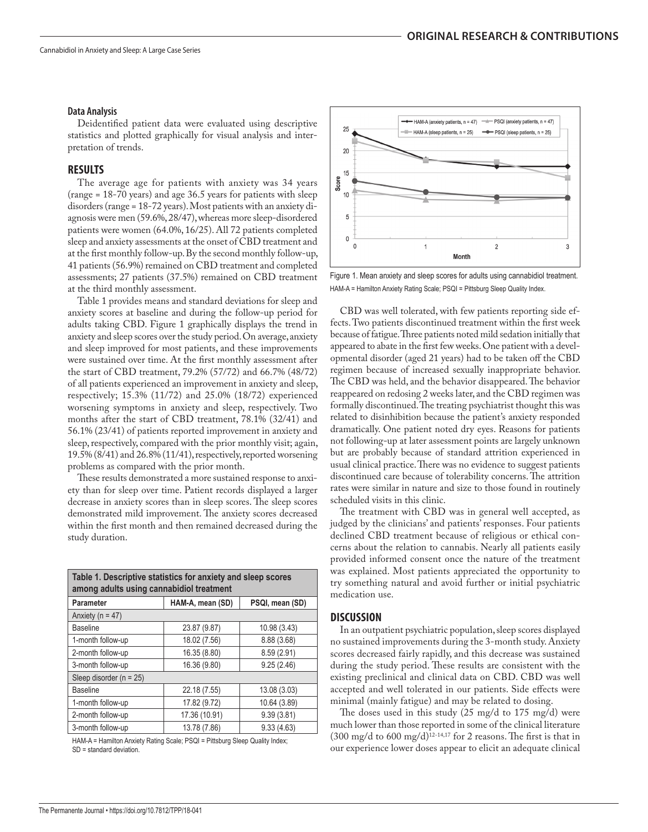# **Data Analysis**

Deidentified patient data were evaluated using descriptive statistics and plotted graphically for visual analysis and interpretation of trends.

# **RESULTS**

The average age for patients with anxiety was 34 years (range = 18-70 years) and age 36.5 years for patients with sleep disorders (range = 18-72 years). Most patients with an anxiety diagnosis were men (59.6%, 28/47), whereas more sleep-disordered patients were women (64.0%, 16/25). All 72 patients completed sleep and anxiety assessments at the onset of CBD treatment and at the first monthly follow-up. By the second monthly follow-up, 41 patients (56.9%) remained on CBD treatment and completed assessments; 27 patients (37.5%) remained on CBD treatment at the third monthly assessment.

Table 1 provides means and standard deviations for sleep and anxiety scores at baseline and during the follow-up period for adults taking CBD. Figure 1 graphically displays the trend in anxiety and sleep scores over the study period. On average, anxiety and sleep improved for most patients, and these improvements were sustained over time. At the first monthly assessment after the start of CBD treatment, 79.2% (57/72) and 66.7% (48/72) of all patients experienced an improvement in anxiety and sleep, respectively; 15.3% (11/72) and 25.0% (18/72) experienced worsening symptoms in anxiety and sleep, respectively. Two months after the start of CBD treatment, 78.1% (32/41) and 56.1% (23/41) of patients reported improvement in anxiety and sleep, respectively, compared with the prior monthly visit; again, 19.5% (8/41) and 26.8% (11/41), respectively, reported worsening problems as compared with the prior month.

These results demonstrated a more sustained response to anxiety than for sleep over time. Patient records displayed a larger decrease in anxiety scores than in sleep scores. The sleep scores demonstrated mild improvement. The anxiety scores decreased within the first month and then remained decreased during the study duration.

| Table 1. Descriptive statistics for anxiety and sleep scores<br>among adults using cannabidiol treatment |                  |                 |
|----------------------------------------------------------------------------------------------------------|------------------|-----------------|
| Parameter                                                                                                | HAM-A, mean (SD) | PSQI, mean (SD) |
| Anxiety ( $n = 47$ )                                                                                     |                  |                 |
| <b>Baseline</b>                                                                                          | 23.87 (9.87)     | 10.98 (3.43)    |
| 1-month follow-up                                                                                        | 18.02 (7.56)     | 8.88 (3.68)     |
| 2-month follow-up                                                                                        | 16.35 (8.80)     | 8.59 (2.91)     |
| 3-month follow-up                                                                                        | 16.36 (9.80)     | 9.25(2.46)      |
| Sleep disorder ( $n = 25$ )                                                                              |                  |                 |
| <b>Baseline</b>                                                                                          | 22.18 (7.55)     | 13.08 (3.03)    |
| 1-month follow-up                                                                                        | 17.82 (9.72)     | 10.64 (3.89)    |
| 2-month follow-up                                                                                        | 17.36 (10.91)    | 9.39(3.81)      |
| 3-month follow-up                                                                                        | 13.78 (7.86)     | 9.33(4.63)      |

HAM-A = Hamilton Anxiety Rating Scale; PSQI = Pittsburg Sleep Quality Index; SD = standard deviation.



Figure 1. Mean anxiety and sleep scores for adults using cannabidiol treatment. HAM-A = Hamilton Anxiety Rating Scale; PSQI = Pittsburg Sleep Quality Index.

CBD was well tolerated, with few patients reporting side effects. Two patients discontinued treatment within the first week because of fatigue. Three patients noted mild sedation initially that appeared to abate in the first few weeks. One patient with a developmental disorder (aged 21 years) had to be taken off the CBD regimen because of increased sexually inappropriate behavior. The CBD was held, and the behavior disappeared. The behavior reappeared on redosing 2 weeks later, and the CBD regimen was formally discontinued. The treating psychiatrist thought this was related to disinhibition because the patient's anxiety responded dramatically. One patient noted dry eyes. Reasons for patients not following-up at later assessment points are largely unknown but are probably because of standard attrition experienced in usual clinical practice. There was no evidence to suggest patients discontinued care because of tolerability concerns. The attrition rates were similar in nature and size to those found in routinely scheduled visits in this clinic.

The treatment with CBD was in general well accepted, as judged by the clinicians' and patients' responses. Four patients declined CBD treatment because of religious or ethical concerns about the relation to cannabis. Nearly all patients easily provided informed consent once the nature of the treatment was explained. Most patients appreciated the opportunity to try something natural and avoid further or initial psychiatric medication use.

# **DISCUSSION**

In an outpatient psychiatric population, sleep scores displayed no sustained improvements during the 3-month study. Anxiety scores decreased fairly rapidly, and this decrease was sustained during the study period. These results are consistent with the existing preclinical and clinical data on CBD. CBD was well accepted and well tolerated in our patients. Side effects were minimal (mainly fatigue) and may be related to dosing.

The doses used in this study (25 mg/d to 175 mg/d) were much lower than those reported in some of the clinical literature (300 mg/d to 600 mg/d)<sup>12-14,17</sup> for 2 reasons. The first is that in our experience lower doses appear to elicit an adequate clinical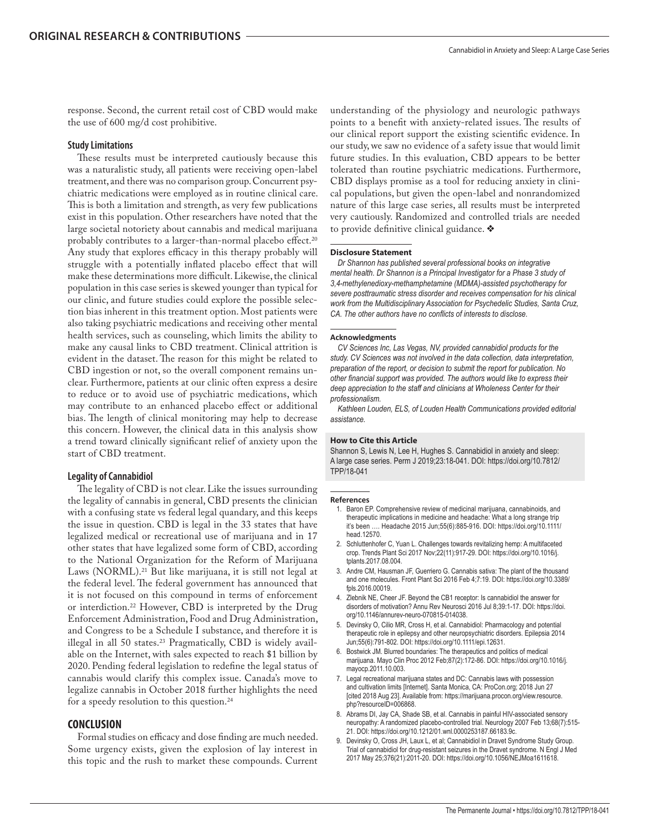response. Second, the current retail cost of CBD would make the use of 600 mg/d cost prohibitive.

# **Study Limitations**

These results must be interpreted cautiously because this was a naturalistic study, all patients were receiving open-label treatment, and there was no comparison group. Concurrent psychiatric medications were employed as in routine clinical care. This is both a limitation and strength, as very few publications exist in this population. Other researchers have noted that the large societal notoriety about cannabis and medical marijuana probably contributes to a larger-than-normal placebo effect.<sup>20</sup> Any study that explores efficacy in this therapy probably will struggle with a potentially inflated placebo effect that will make these determinations more difficult. Likewise, the clinical population in this case series is skewed younger than typical for our clinic, and future studies could explore the possible selection bias inherent in this treatment option. Most patients were also taking psychiatric medications and receiving other mental health services, such as counseling, which limits the ability to make any causal links to CBD treatment. Clinical attrition is evident in the dataset. The reason for this might be related to CBD ingestion or not, so the overall component remains unclear. Furthermore, patients at our clinic often express a desire to reduce or to avoid use of psychiatric medications, which may contribute to an enhanced placebo effect or additional bias. The length of clinical monitoring may help to decrease this concern. However, the clinical data in this analysis show a trend toward clinically significant relief of anxiety upon the start of CBD treatment.

## **Legality of Cannabidiol**

The legality of CBD is not clear. Like the issues surrounding the legality of cannabis in general, CBD presents the clinician with a confusing state vs federal legal quandary, and this keeps the issue in question. CBD is legal in the 33 states that have legalized medical or recreational use of marijuana and in 17 other states that have legalized some form of CBD, according to the National Organization for the Reform of Marijuana Laws (NORML).21 But like marijuana, it is still not legal at the federal level. The federal government has announced that it is not focused on this compound in terms of enforcement or interdiction.22 However, CBD is interpreted by the Drug Enforcement Administration, Food and Drug Administration, and Congress to be a Schedule I substance, and therefore it is illegal in all 50 states.<sup>23</sup> Pragmatically, CBD is widely available on the Internet, with sales expected to reach \$1 billion by 2020. Pending federal legislation to redefine the legal status of cannabis would clarify this complex issue. Canada's move to legalize cannabis in October 2018 further highlights the need for a speedy resolution to this question.24

# **CONCLUSION**

Formal studies on efficacy and dose finding are much needed. Some urgency exists, given the explosion of lay interest in this topic and the rush to market these compounds. Current understanding of the physiology and neurologic pathways points to a benefit with anxiety-related issues. The results of our clinical report support the existing scientific evidence. In our study, we saw no evidence of a safety issue that would limit future studies. In this evaluation, CBD appears to be better tolerated than routine psychiatric medications. Furthermore, CBD displays promise as a tool for reducing anxiety in clinical populations, but given the open-label and nonrandomized nature of this large case series, all results must be interpreted very cautiously. Randomized and controlled trials are needed to provide definitive clinical guidance.  $\clubsuit$ 

#### **Disclosure Statement**

*Dr Shannon has published several professional books on integrative mental health. Dr Shannon is a Principal Investigator for a Phase 3 study of 3,4-methylenedioxy-methamphetamine (MDMA)-assisted psychotherapy for severe posttraumatic stress disorder and receives compensation for his clinical work from the Multidisciplinary Association for Psychedelic Studies, Santa Cruz, CA. The other authors have no conflicts of interests to disclose.* 

#### **Acknowledgments**

*CV Sciences Inc, Las Vegas, NV, provided cannabidiol products for the study. CV Sciences was not involved in the data collection, data interpretation, preparation of the report, or decision to submit the report for publication. No other financial support was provided. The authors would like to express their deep appreciation to the staff and clinicians at Wholeness Center for their professionalism.*

*Kathleen Louden, ELS, of Louden Health Communications provided editorial assistance.*

### **How to Cite this Article**

Shannon S, Lewis N, Lee H, Hughes S. Cannabidiol in anxiety and sleep: A large case series. Perm J 2019;23:18-041. DOI: https://doi.org/10.7812/ TPP/18-041

#### **References**

- 1. Baron EP. Comprehensive review of medicinal marijuana, cannabinoids, and therapeutic implications in medicine and headache: What a long strange trip it's been …. Headache 2015 Jun;55(6):885-916. DOI: https://doi.org/10.1111/ head.12570.
- 2. Schluttenhofer C, Yuan L. Challenges towards revitalizing hemp: A multifaceted crop. Trends Plant Sci 2017 Nov;22(11):917-29. DOI: https://doi.org/10.1016/j. tplants.2017.08.004.
- 3. Andre CM, Hausman JF, Guerriero G. Cannabis sativa: The plant of the thousand and one molecules. Front Plant Sci 2016 Feb 4;7:19. DOI: https://doi.org/10.3389/ fpls.2016.00019.
- 4. Zlebnik NE, Cheer JF. Beyond the CB1 receptor: Is cannabidiol the answer for disorders of motivation? Annu Rev Neurosci 2016 Jul 8;39:1-17. DOI: https://doi. org/10.1146/annurev-neuro-070815-014038.
- 5. Devinsky O, Cilio MR, Cross H, et al. Cannabidiol: Pharmacology and potential therapeutic role in epilepsy and other neuropsychiatric disorders. Epilepsia 2014 Jun;55(6):791-802. DOI: https://doi.org/10.1111/epi.12631.
- 6. Bostwick JM. Blurred boundaries: The therapeutics and politics of medical marijuana. Mayo Clin Proc 2012 Feb;87(2):172-86. DOI: https://doi.org/10.1016/j. mayocp.2011.10.003.
- 7. Legal recreational marijuana states and DC: Cannabis laws with possession and cultivation limits [Internet]. Santa Monica, CA: ProCon.org; 2018 Jun 27 [cited 2018 Aug 23]. Available from: https://marijuana.procon.org/view.resource. php?resourceID=006868.
- 8. Abrams DI, Jay CA, Shade SB, et al. Cannabis in painful HIV-associated sensory neuropathy: A randomized placebo-controlled trial. Neurology 2007 Feb 13;68(7):515- 21. DOI: https://doi.org/10.1212/01.wnl.0000253187.66183.9c.
- 9. Devinsky O, Cross JH, Laux L, et al; Cannabidiol in Dravet Syndrome Study Group. Trial of cannabidiol for drug-resistant seizures in the Dravet syndrome. N Engl J Med 2017 May 25;376(21):2011-20. DOI: https://doi.org/10.1056/NEJMoa1611618.